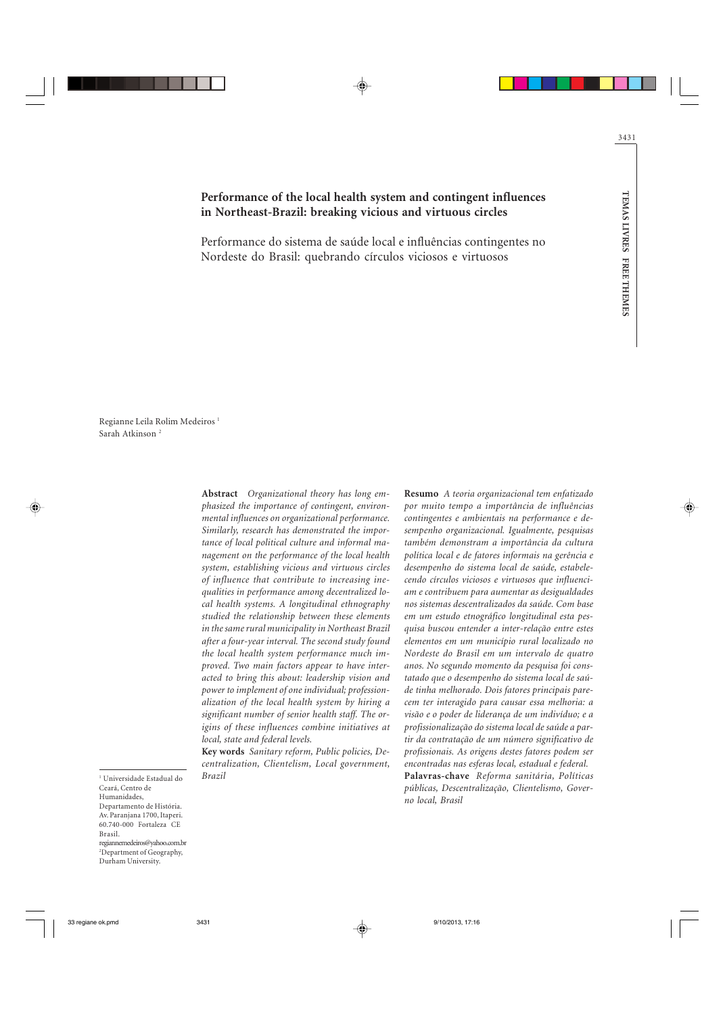# Performance of the local health system and contingent influences in Northeast-Brazil: breaking vicious and virtuous circles

Performance do sistema de saúde local e influências contingentes no Nordeste do Brasil: quebrando círculos viciosos e virtuosos

Regianne Leila Rolim Medeiros <sup>1</sup> Sarah Atkinson <sup>2</sup>

> Abstract Organizational theory has long emphasized the importance of contingent, environmental influences on organizational performance. Similarly, research has demonstrated the importance of local political culture and informal management on the performance of the local health system, establishing vicious and virtuous circles of influence that contribute to increasing inequalities in performance among decentralized local health systems. A longitudinal ethnography studied the relationship between these elements in the same rural municipality in Northeast Brazil after a four-year interval. The second study found the local health system performance much improved. Two main factors appear to have interacted to bring this about: leadership vision and power to implement of one individual; professionalization of the local health system by hiring a significant number of senior health staff. The origins of these influences combine initiatives at local, state and federal levels.

> Key words Sanitary reform, Public policies, Decentralization, Clientelism, Local government, Brazil

Resumo A teoria organizacional tem enfatizado por muito tempo a importância de influências contingentes e ambientais na performance e desempenho organizacional. Igualmente, pesquisas também demonstram a importância da cultura política local e de fatores informais na gerência e desempenho do sistema local de saúde, estabelecendo círculos viciosos e virtuosos que influenciam e contribuem para aumentar as desigualdades nos sistemas descentralizados da saúde. Com base em um estudo etnográfico longitudinal esta pesquisa buscou entender a inter-relação entre estes elementos em um município rural localizado no Nordeste do Brasil em um intervalo de quatro anos. No segundo momento da pesquisa foi constatado que o desempenho do sistema local de saúde tinha melhorado. Dois fatores principais parecem ter interagido para causar essa melhoria: a visão e o poder de liderança de um indivíduo; e a profissionalização do sistema local de saúde a partir da contratação de um número significativo de profissionais. As origens destes fatores podem ser encontradas nas esferas local, estadual e federal. Palavras-chave Reforma sanitária, Políticas

públicas, Descentralização, Clientelismo, Governo local, Brasil

1 Universidade Estadual do Ceará, Centro de Humanidades, Departamento de História. Av. Paranjana 1700, Itaperi. 60.740-000 Fortaleza CE Brasil. regiannemedeiros@yahoo.com.br 2 Department of Geography, Durham University.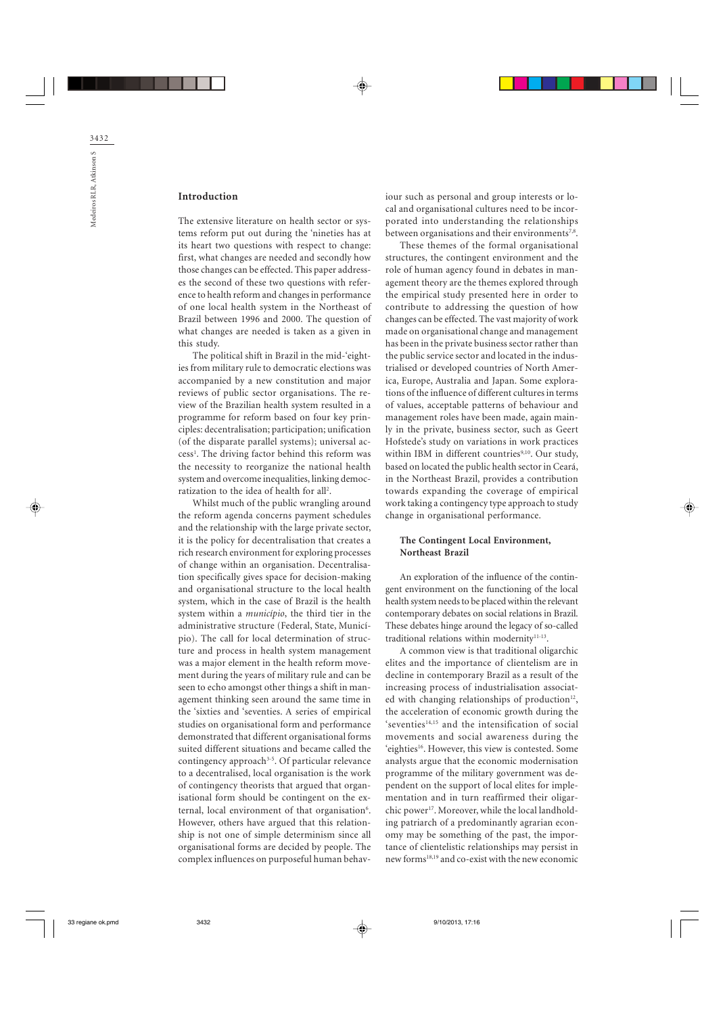### Introduction

The extensive literature on health sector or systems reform put out during the 'nineties has at its heart two questions with respect to change: first, what changes are needed and secondly how those changes can be effected. This paper addresses the second of these two questions with reference to health reform and changes in performance of one local health system in the Northeast of Brazil between 1996 and 2000. The question of what changes are needed is taken as a given in this study.

The political shift in Brazil in the mid-'eighties from military rule to democratic elections was accompanied by a new constitution and major reviews of public sector organisations. The review of the Brazilian health system resulted in a programme for reform based on four key principles: decentralisation; participation; unification (of the disparate parallel systems); universal access<sup>1</sup>. The driving factor behind this reform was the necessity to reorganize the national health system and overcome inequalities, linking democratization to the idea of health for all<sup>2</sup>.

Whilst much of the public wrangling around the reform agenda concerns payment schedules and the relationship with the large private sector, it is the policy for decentralisation that creates a rich research environment for exploring processes of change within an organisation. Decentralisation specifically gives space for decision-making and organisational structure to the local health system, which in the case of Brazil is the health system within a município, the third tier in the administrative structure (Federal, State, Município). The call for local determination of structure and process in health system management was a major element in the health reform movement during the years of military rule and can be seen to echo amongst other things a shift in management thinking seen around the same time in the 'sixties and 'seventies. A series of empirical studies on organisational form and performance demonstrated that different organisational forms suited different situations and became called the contingency approach<sup>3-5</sup>. Of particular relevance to a decentralised, local organisation is the work of contingency theorists that argued that organisational form should be contingent on the external, local environment of that organisation<sup>6</sup>. However, others have argued that this relationship is not one of simple determinism since all organisational forms are decided by people. The complex influences on purposeful human behaviour such as personal and group interests or local and organisational cultures need to be incorporated into understanding the relationships between organisations and their environments<sup>7,8</sup>.

These themes of the formal organisational structures, the contingent environment and the role of human agency found in debates in management theory are the themes explored through the empirical study presented here in order to contribute to addressing the question of how changes can be effected. The vast majority of work made on organisational change and management has been in the private business sector rather than the public service sector and located in the industrialised or developed countries of North America, Europe, Australia and Japan. Some explorations of the influence of different cultures in terms of values, acceptable patterns of behaviour and management roles have been made, again mainly in the private, business sector, such as Geert Hofstede's study on variations in work practices within IBM in different countries<sup>9,10</sup>. Our study, based on located the public health sector in Ceará, in the Northeast Brazil, provides a contribution towards expanding the coverage of empirical work taking a contingency type approach to study change in organisational performance.

### The Contingent Local Environment, Northeast Brazil

An exploration of the influence of the contingent environment on the functioning of the local health system needs to be placed within the relevant contemporary debates on social relations in Brazil. These debates hinge around the legacy of so-called traditional relations within modernity<sup>11-13</sup>.

A common view is that traditional oligarchic elites and the importance of clientelism are in decline in contemporary Brazil as a result of the increasing process of industrialisation associated with changing relationships of production $12$ , the acceleration of economic growth during the  $s$ eventies<sup>14,15</sup> and the intensification of social movements and social awareness during the 'eighties<sup>16</sup>. However, this view is contested. Some analysts argue that the economic modernisation programme of the military government was dependent on the support of local elites for implementation and in turn reaffirmed their oligarchic power<sup>17</sup>. Moreover, while the local landholding patriarch of a predominantly agrarian economy may be something of the past, the importance of clientelistic relationships may persist in new forms18,19 and co-exist with the new economic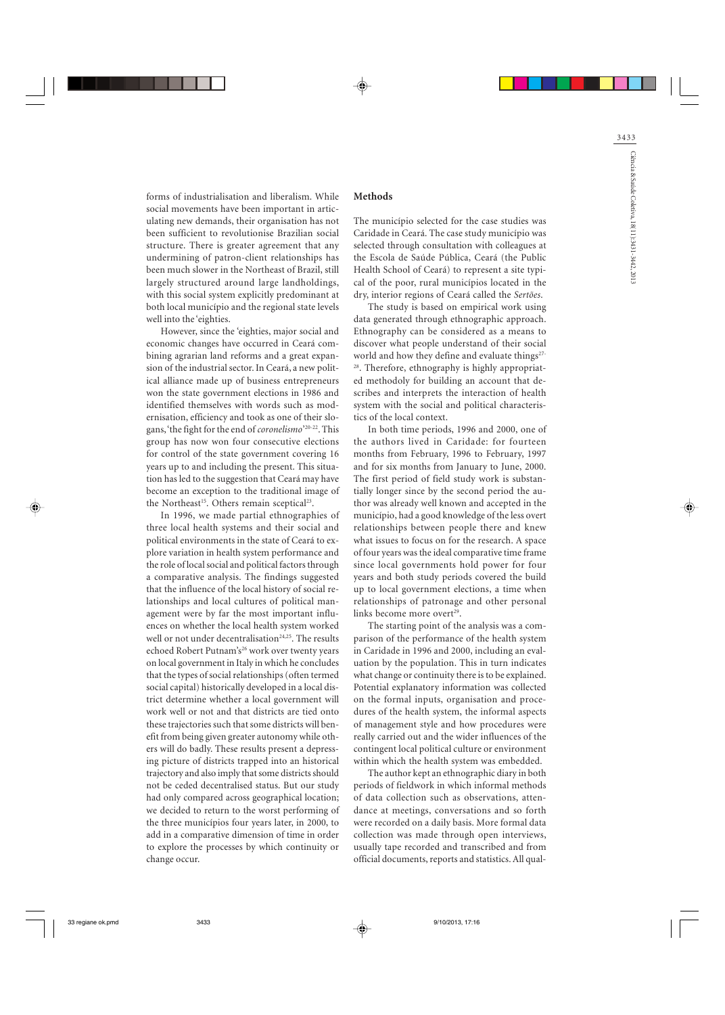forms of industrialisation and liberalism. While social movements have been important in articulating new demands, their organisation has not been sufficient to revolutionise Brazilian social structure. There is greater agreement that any undermining of patron-client relationships has been much slower in the Northeast of Brazil, still largely structured around large landholdings, with this social system explicitly predominant at both local município and the regional state levels well into the 'eighties.

However, since the 'eighties, major social and economic changes have occurred in Ceará combining agrarian land reforms and a great expansion of the industrial sector. In Ceará, a new political alliance made up of business entrepreneurs won the state government elections in 1986 and identified themselves with words such as modernisation, efficiency and took as one of their slogans, 'the fight for the end of *coronelismo*'20-22. This group has now won four consecutive elections for control of the state government covering 16 years up to and including the present. This situation has led to the suggestion that Ceará may have become an exception to the traditional image of the Northeast<sup>15</sup>. Others remain sceptical<sup>23</sup>.

In 1996, we made partial ethnographies of three local health systems and their social and political environments in the state of Ceará to explore variation in health system performance and the role of local social and political factors through a comparative analysis. The findings suggested that the influence of the local history of social relationships and local cultures of political management were by far the most important influences on whether the local health system worked well or not under decentralisation<sup>24,25</sup>. The results echoed Robert Putnam's<sup>26</sup> work over twenty years on local government in Italy in which he concludes that the types of social relationships (often termed social capital) historically developed in a local district determine whether a local government will work well or not and that districts are tied onto these trajectories such that some districts will benefit from being given greater autonomy while others will do badly. These results present a depressing picture of districts trapped into an historical trajectory and also imply that some districts should not be ceded decentralised status. But our study had only compared across geographical location; we decided to return to the worst performing of the three municípios four years later, in 2000, to add in a comparative dimension of time in order to explore the processes by which continuity or change occur.

#### **Methods**

The município selected for the case studies was Caridade in Ceará. The case study município was selected through consultation with colleagues at the Escola de Saúde Pública, Ceará (the Public Health School of Ceará) to represent a site typical of the poor, rural municípios located in the dry, interior regions of Ceará called the Sertões.

The study is based on empirical work using data generated through ethnographic approach. Ethnography can be considered as a means to discover what people understand of their social world and how they define and evaluate things<sup>27</sup> <sup>28</sup>. Therefore, ethnography is highly appropriated methodoly for building an account that describes and interprets the interaction of health system with the social and political characteristics of the local context.

In both time periods, 1996 and 2000, one of the authors lived in Caridade: for fourteen months from February, 1996 to February, 1997 and for six months from January to June, 2000. The first period of field study work is substantially longer since by the second period the author was already well known and accepted in the município, had a good knowledge of the less overt relationships between people there and knew what issues to focus on for the research. A space of four years was the ideal comparative time frame since local governments hold power for four years and both study periods covered the build up to local government elections, a time when relationships of patronage and other personal links become more overt<sup>29</sup>.

The starting point of the analysis was a comparison of the performance of the health system in Caridade in 1996 and 2000, including an evaluation by the population. This in turn indicates what change or continuity there is to be explained. Potential explanatory information was collected on the formal inputs, organisation and procedures of the health system, the informal aspects of management style and how procedures were really carried out and the wider influences of the contingent local political culture or environment within which the health system was embedded.

The author kept an ethnographic diary in both periods of fieldwork in which informal methods of data collection such as observations, attendance at meetings, conversations and so forth were recorded on a daily basis. More formal data collection was made through open interviews, usually tape recorded and transcribed and from official documents, reports and statistics. All qual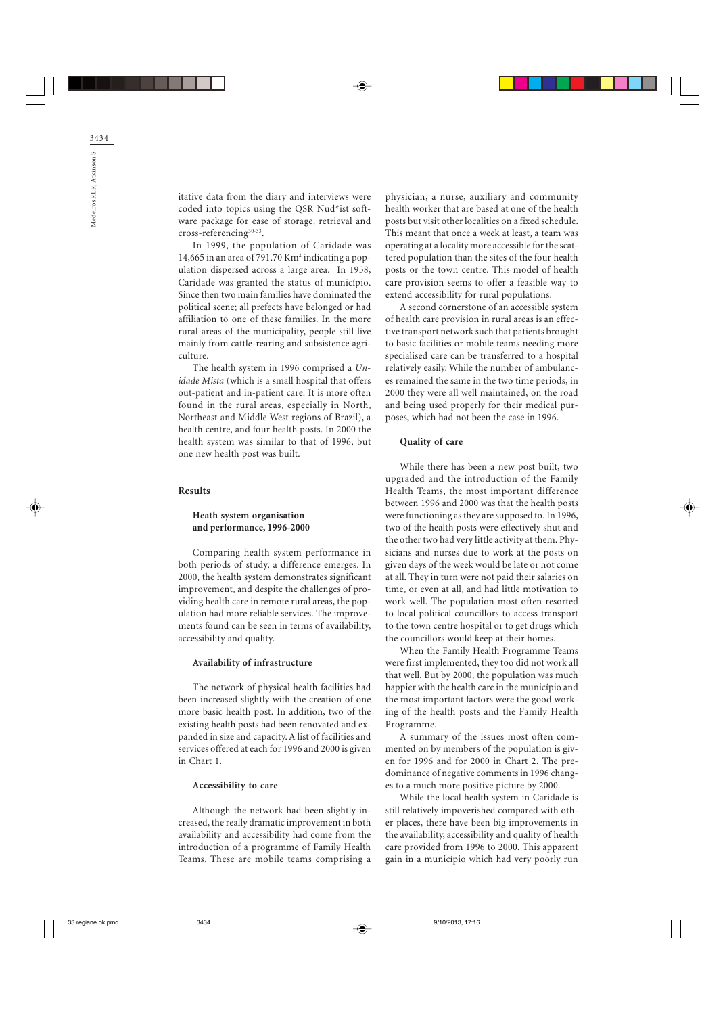itative data from the diary and interviews were coded into topics using the QSR Nud\*ist software package for ease of storage, retrieval and cross-referencing<sup>30-33</sup>.

In 1999, the population of Caridade was 14,665 in an area of 791.70  $\mathrm{Km}^2$  indicating a population dispersed across a large area. In 1958, Caridade was granted the status of município. Since then two main families have dominated the political scene; all prefects have belonged or had affiliation to one of these families. In the more rural areas of the municipality, people still live mainly from cattle-rearing and subsistence agriculture.

The health system in 1996 comprised a Unidade Mista (which is a small hospital that offers out-patient and in-patient care. It is more often found in the rural areas, especially in North, Northeast and Middle West regions of Brazil), a health centre, and four health posts. In 2000 the health system was similar to that of 1996, but one new health post was built.

#### Results

#### Heath system organisation and performance, 1996-2000

Comparing health system performance in both periods of study, a difference emerges. In 2000, the health system demonstrates significant improvement, and despite the challenges of providing health care in remote rural areas, the population had more reliable services. The improvements found can be seen in terms of availability, accessibility and quality.

#### Availability of infrastructure

The network of physical health facilities had been increased slightly with the creation of one more basic health post. In addition, two of the existing health posts had been renovated and expanded in size and capacity. A list of facilities and services offered at each for 1996 and 2000 is given in Chart 1.

### Accessibility to care

Although the network had been slightly increased, the really dramatic improvement in both availability and accessibility had come from the introduction of a programme of Family Health Teams. These are mobile teams comprising a

physician, a nurse, auxiliary and community health worker that are based at one of the health posts but visit other localities on a fixed schedule. This meant that once a week at least, a team was operating at a locality more accessible for the scattered population than the sites of the four health posts or the town centre. This model of health care provision seems to offer a feasible way to extend accessibility for rural populations.

A second cornerstone of an accessible system of health care provision in rural areas is an effective transport network such that patients brought to basic facilities or mobile teams needing more specialised care can be transferred to a hospital relatively easily. While the number of ambulances remained the same in the two time periods, in 2000 they were all well maintained, on the road and being used properly for their medical purposes, which had not been the case in 1996.

#### Quality of care

While there has been a new post built, two upgraded and the introduction of the Family Health Teams, the most important difference between 1996 and 2000 was that the health posts were functioning as they are supposed to. In 1996, two of the health posts were effectively shut and the other two had very little activity at them. Physicians and nurses due to work at the posts on given days of the week would be late or not come at all. They in turn were not paid their salaries on time, or even at all, and had little motivation to work well. The population most often resorted to local political councillors to access transport to the town centre hospital or to get drugs which the councillors would keep at their homes.

When the Family Health Programme Teams were first implemented, they too did not work all that well. But by 2000, the population was much happier with the health care in the município and the most important factors were the good working of the health posts and the Family Health Programme.

A summary of the issues most often commented on by members of the population is given for 1996 and for 2000 in Chart 2. The predominance of negative comments in 1996 changes to a much more positive picture by 2000.

While the local health system in Caridade is still relatively impoverished compared with other places, there have been big improvements in the availability, accessibility and quality of health care provided from 1996 to 2000. This apparent gain in a município which had very poorly run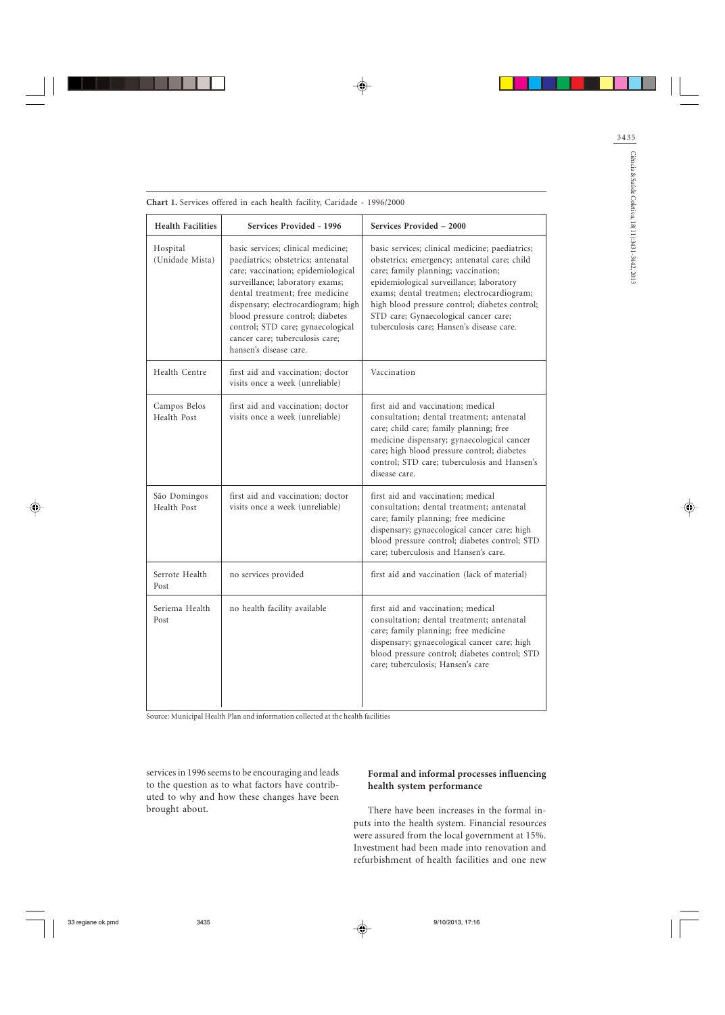| <b>Health Facilities</b>    | Services Provided - 1996                                                                                                                                                                                                                                                                                                                                          | Services Provided - 2000                                                                                                                                                                                                                                                                                                                                                 |
|-----------------------------|-------------------------------------------------------------------------------------------------------------------------------------------------------------------------------------------------------------------------------------------------------------------------------------------------------------------------------------------------------------------|--------------------------------------------------------------------------------------------------------------------------------------------------------------------------------------------------------------------------------------------------------------------------------------------------------------------------------------------------------------------------|
| Hospital<br>(Unidade Mista) | basic services; clinical medicine;<br>paediatrics; obstetrics; antenatal<br>care; vaccination; epidemiological<br>surveillance; laboratory exams;<br>dental treatment; free medicine<br>dispensary; electrocardiogram; high<br>blood pressure control; diabetes<br>control; STD care; gynaecological<br>cancer care; tuberculosis care;<br>hansen's disease care. | basic services; clinical medicine; paediatrics;<br>obstetrics; emergency; antenatal care; child<br>care; family planning; vaccination;<br>epidemiological surveillance; laboratory<br>exams; dental treatmen; electrocardiogram;<br>high blood pressure control; diabetes control;<br>STD care; Gynaecological cancer care;<br>tuberculosis care: Hansen's disease care. |
| Health Centre               | first aid and vaccination; doctor<br>visits once a week (unreliable)                                                                                                                                                                                                                                                                                              | Vaccination                                                                                                                                                                                                                                                                                                                                                              |
| Campos Belos<br>Health Post | first aid and vaccination; doctor<br>visits once a week (unreliable)                                                                                                                                                                                                                                                                                              | first aid and vaccination; medical<br>consultation; dental treatment; antenatal<br>care; child care; family planning; free<br>medicine dispensary; gynaecological cancer<br>care; high blood pressure control; diabetes<br>control; STD care; tuberculosis and Hansen's<br>disease care.                                                                                 |
| São Domingos<br>Health Post | first aid and vaccination; doctor<br>visits once a week (unreliable)                                                                                                                                                                                                                                                                                              | first aid and vaccination; medical<br>consultation; dental treatment; antenatal<br>care; family planning; free medicine<br>dispensary; gynaecological cancer care; high<br>blood pressure control; diabetes control; STD<br>care; tuberculosis and Hansen's care.                                                                                                        |
| Serrote Health<br>Post      | no services provided                                                                                                                                                                                                                                                                                                                                              | first aid and vaccination (lack of material)                                                                                                                                                                                                                                                                                                                             |
| Seriema Health<br>Post      | no health facility available                                                                                                                                                                                                                                                                                                                                      | first aid and vaccination; medical<br>consultation; dental treatment; antenatal<br>care; family planning; free medicine<br>dispensary; gynaecological cancer care; high<br>blood pressure control; diabetes control; STD<br>care; tuberculosis; Hansen's care                                                                                                            |

Chart 1. Services offered in each health facility, Caridade - 1996/2000

Source: Municipal Health Plan and information collected at the health facilities

services in 1996 seems to be encouraging and leads to the question as to what factors have contributed to why and how these changes have been brought about.

## Formal and informal processes influencing health system performance

There have been increases in the formal inputs into the health system. Financial resources were assured from the local government at 15%. Investment had been made into renovation and refurbishment of health facilities and one new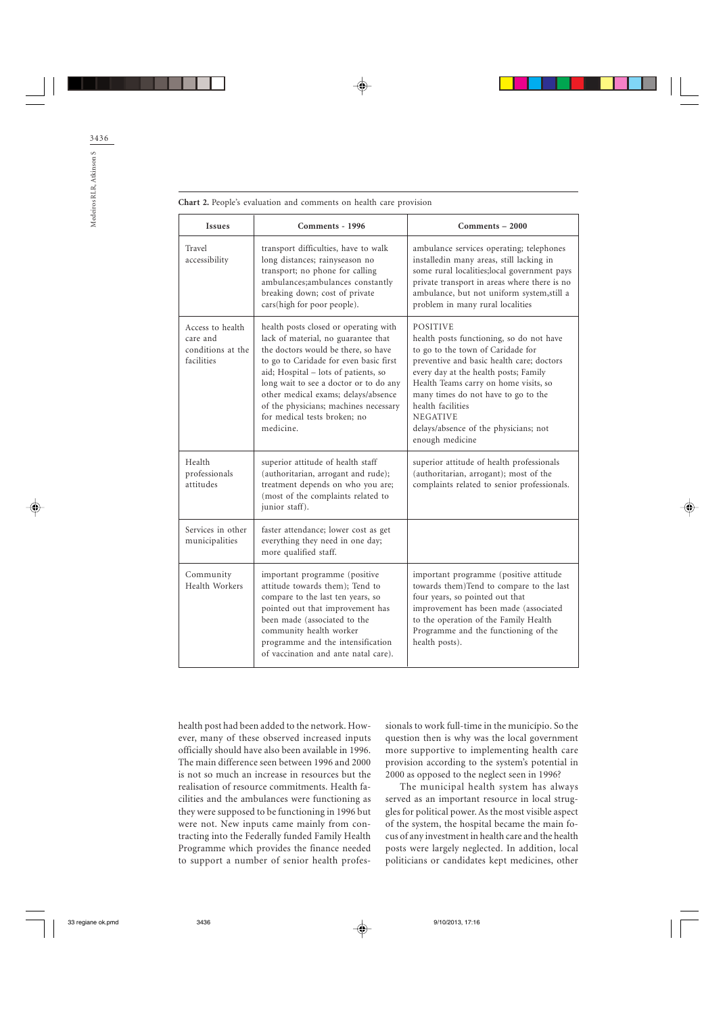| <b>Issues</b>                                                   | Comments - 1996                                                                                                                                                                                                                                                                                                                                                              | Comments - 2000                                                                                                                                                                                                                                                                                                                                                            |
|-----------------------------------------------------------------|------------------------------------------------------------------------------------------------------------------------------------------------------------------------------------------------------------------------------------------------------------------------------------------------------------------------------------------------------------------------------|----------------------------------------------------------------------------------------------------------------------------------------------------------------------------------------------------------------------------------------------------------------------------------------------------------------------------------------------------------------------------|
| Travel<br>accessibility                                         | transport difficulties, have to walk<br>long distances; rainyseason no<br>transport; no phone for calling<br>ambulances; ambulances constantly<br>breaking down; cost of private<br>cars(high for poor people).                                                                                                                                                              | ambulance services operating; telephones<br>installedin many areas, still lacking in<br>some rural localities; local government pays<br>private transport in areas where there is no<br>ambulance, but not uniform system, still a<br>problem in many rural localities                                                                                                     |
| Access to health<br>care and<br>conditions at the<br>facilities | health posts closed or operating with<br>lack of material, no guarantee that<br>the doctors would be there, so have<br>to go to Caridade for even basic first<br>aid; Hospital - lots of patients, so<br>long wait to see a doctor or to do any<br>other medical exams; delays/absence<br>of the physicians; machines necessary<br>for medical tests broken; no<br>medicine. | <b>POSITIVE</b><br>health posts functioning, so do not have<br>to go to the town of Caridade for<br>preventive and basic health care; doctors<br>every day at the health posts; Family<br>Health Teams carry on home visits, so<br>many times do not have to go to the<br>health facilities<br><b>NEGATIVE</b><br>delays/absence of the physicians; not<br>enough medicine |
| Health<br>professionals<br>attitudes                            | superior attitude of health staff<br>(authoritarian, arrogant and rude);<br>treatment depends on who you are;<br>(most of the complaints related to<br>junior staff).                                                                                                                                                                                                        | superior attitude of health professionals<br>(authoritarian, arrogant); most of the<br>complaints related to senior professionals.                                                                                                                                                                                                                                         |
| Services in other<br>municipalities                             | faster attendance; lower cost as get<br>everything they need in one day;<br>more qualified staff.                                                                                                                                                                                                                                                                            |                                                                                                                                                                                                                                                                                                                                                                            |
| Community<br>Health Workers                                     | important programme (positive<br>attitude towards them); Tend to<br>compare to the last ten years, so<br>pointed out that improvement has<br>been made (associated to the<br>community health worker<br>programme and the intensification<br>of vaccination and ante natal care).                                                                                            | important programme (positive attitude<br>towards them)Tend to compare to the last<br>four years, so pointed out that<br>improvement has been made (associated<br>to the operation of the Family Health<br>Programme and the functioning of the<br>health posts).                                                                                                          |

Chart 2. People's evaluation and comments on health care provision

health post had been added to the network. However, many of these observed increased inputs officially should have also been available in 1996. The main difference seen between 1996 and 2000 is not so much an increase in resources but the realisation of resource commitments. Health facilities and the ambulances were functioning as they were supposed to be functioning in 1996 but were not. New inputs came mainly from contracting into the Federally funded Family Health Programme which provides the finance needed to support a number of senior health professionals to work full-time in the município. So the question then is why was the local government more supportive to implementing health care provision according to the system's potential in 2000 as opposed to the neglect seen in 1996?

The municipal health system has always served as an important resource in local struggles for political power. As the most visible aspect of the system, the hospital became the main focus of any investment in health care and the health posts were largely neglected. In addition, local politicians or candidates kept medicines, other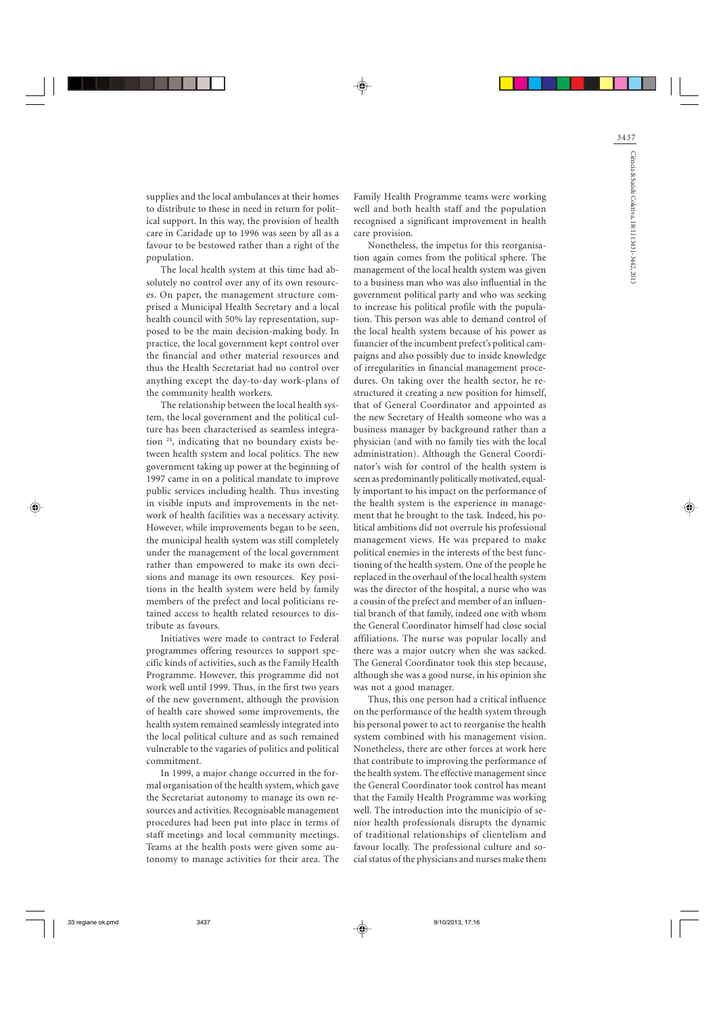supplies and the local ambulances at their homes to distribute to those in need in return for political support. In this way, the provision of health care in Caridade up to 1996 was seen by all as a favour to be bestowed rather than a right of the population.

The local health system at this time had absolutely no control over any of its own resources. On paper, the management structure comprised a Municipal Health Secretary and a local health council with 50% lay representation, supposed to be the main decision-making body. In practice, the local government kept control over the financial and other material resources and thus the Health Secretariat had no control over anything except the day-to-day work-plans of the community health workers.

The relationship between the local health system, the local government and the political culture has been characterised as seamless integration 24, indicating that no boundary exists between health system and local politics. The new government taking up power at the beginning of 1997 came in on a political mandate to improve public services including health. Thus investing in visible inputs and improvements in the network of health facilities was a necessary activity. However, while improvements began to be seen, the municipal health system was still completely under the management of the local government rather than empowered to make its own decisions and manage its own resources. Key positions in the health system were held by family members of the prefect and local politicians retained access to health related resources to distribute as favours.

Initiatives were made to contract to Federal programmes offering resources to support specific kinds of activities, such as the Family Health Programme. However, this programme did not work well until 1999. Thus, in the first two years of the new government, although the provision of health care showed some improvements, the health system remained seamlessly integrated into the local political culture and as such remained vulnerable to the vagaries of politics and political commitment.

In 1999, a major change occurred in the formal organisation of the health system, which gave the Secretariat autonomy to manage its own resources and activities. Recognisable management procedures had been put into place in terms of staff meetings and local community meetings. Teams at the health posts were given some autonomy to manage activities for their area. The

Family Health Programme teams were working well and both health staff and the population recognised a significant improvement in health care provision.

Nonetheless, the impetus for this reorganisation again comes from the political sphere. The management of the local health system was given to a business man who was also influential in the government political party and who was seeking to increase his political profile with the population. This person was able to demand control of the local health system because of his power as financier of the incumbent prefect's political campaigns and also possibly due to inside knowledge of irregularities in financial management procedures. On taking over the health sector, he restructured it creating a new position for himself, that of General Coordinator and appointed as the new Secretary of Health someone who was a business manager by background rather than a physician (and with no family ties with the local administration). Although the General Coordinator's wish for control of the health system is seen as predominantly politically motivated, equally important to his impact on the performance of the health system is the experience in management that he brought to the task. Indeed, his political ambitions did not overrule his professional management views. He was prepared to make political enemies in the interests of the best functioning of the health system. One of the people he replaced in the overhaul of the local health system was the director of the hospital, a nurse who was a cousin of the prefect and member of an influential branch of that family, indeed one with whom the General Coordinator himself had close social affiliations. The nurse was popular locally and there was a major outcry when she was sacked. The General Coordinator took this step because, although she was a good nurse, in his opinion she was not a good manager.

Thus, this one person had a critical influence on the performance of the health system through his personal power to act to reorganise the health system combined with his management vision. Nonetheless, there are other forces at work here that contribute to improving the performance of the health system. The effective management since the General Coordinator took control has meant that the Family Health Programme was working well. The introduction into the município of senior health professionals disrupts the dynamic of traditional relationships of clientelism and favour locally. The professional culture and social status of the physicians and nurses make them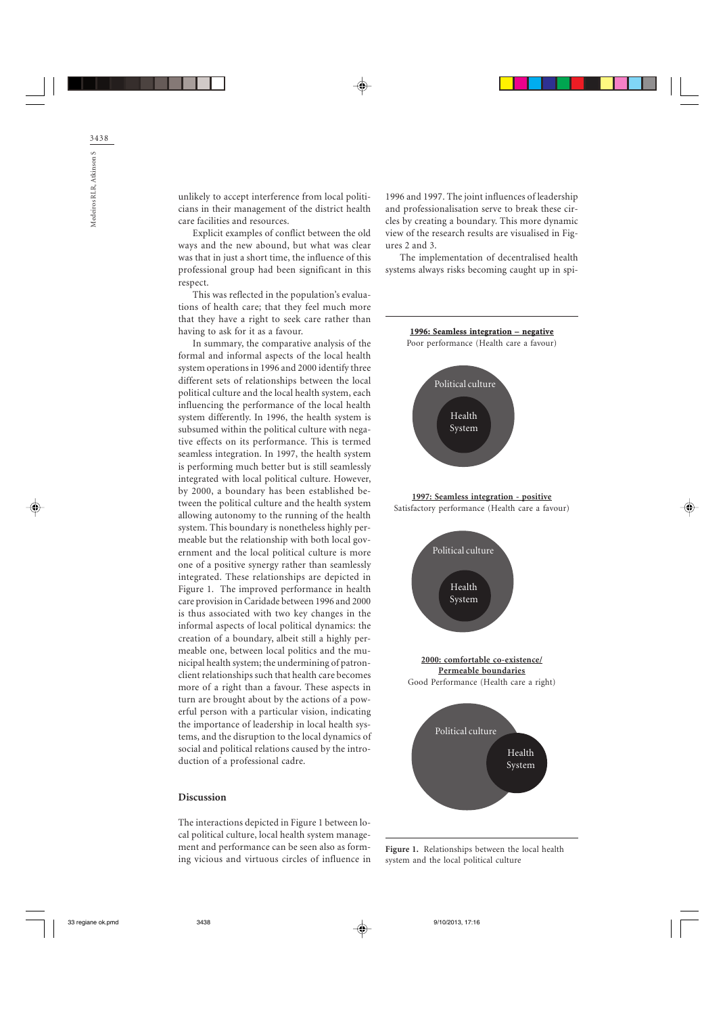unlikely to accept interference from local politicians in their management of the district health care facilities and resources.

Explicit examples of conflict between the old ways and the new abound, but what was clear was that in just a short time, the influence of this professional group had been significant in this respect.

This was reflected in the population's evaluations of health care; that they feel much more that they have a right to seek care rather than having to ask for it as a favour.

In summary, the comparative analysis of the formal and informal aspects of the local health system operations in 1996 and 2000 identify three different sets of relationships between the local political culture and the local health system, each influencing the performance of the local health system differently. In 1996, the health system is subsumed within the political culture with negative effects on its performance. This is termed seamless integration. In 1997, the health system is performing much better but is still seamlessly integrated with local political culture. However, by 2000, a boundary has been established between the political culture and the health system allowing autonomy to the running of the health system. This boundary is nonetheless highly permeable but the relationship with both local government and the local political culture is more one of a positive synergy rather than seamlessly integrated. These relationships are depicted in Figure 1. The improved performance in health care provision in Caridade between 1996 and 2000 is thus associated with two key changes in the informal aspects of local political dynamics: the creation of a boundary, albeit still a highly permeable one, between local politics and the municipal health system; the undermining of patronclient relationships such that health care becomes more of a right than a favour. These aspects in turn are brought about by the actions of a powerful person with a particular vision, indicating the importance of leadership in local health systems, and the disruption to the local dynamics of social and political relations caused by the introduction of a professional cadre.

### Discussion

The interactions depicted in Figure 1 between local political culture, local health system management and performance can be seen also as forming vicious and virtuous circles of influence in 1996 and 1997. The joint influences of leadership and professionalisation serve to break these circles by creating a boundary. This more dynamic view of the research results are visualised in Figures 2 and 3.

The implementation of decentralised health systems always risks becoming caught up in spi-



Figure 1. Relationships between the local health system and the local political culture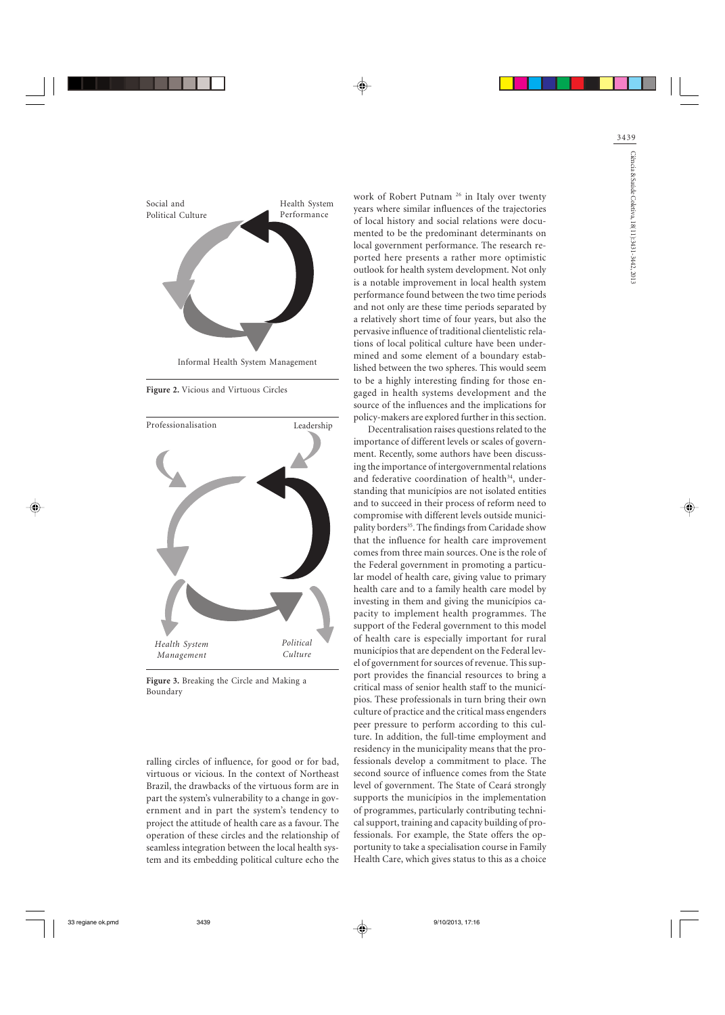

Figure 2. Vicious and Virtuous Circles



Figure 3. Breaking the Circle and Making a Boundary

ralling circles of influence, for good or for bad, virtuous or vicious. In the context of Northeast Brazil, the drawbacks of the virtuous form are in part the system's vulnerability to a change in government and in part the system's tendency to project the attitude of health care as a favour. The operation of these circles and the relationship of seamless integration between the local health system and its embedding political culture echo the

work of Robert Putnam <sup>26</sup> in Italy over twenty years where similar influences of the trajectories of local history and social relations were documented to be the predominant determinants on local government performance. The research reported here presents a rather more optimistic outlook for health system development. Not only is a notable improvement in local health system performance found between the two time periods and not only are these time periods separated by a relatively short time of four years, but also the pervasive influence of traditional clientelistic relations of local political culture have been undermined and some element of a boundary established between the two spheres. This would seem to be a highly interesting finding for those engaged in health systems development and the source of the influences and the implications for policy-makers are explored further in this section.

Decentralisation raises questions related to the importance of different levels or scales of government. Recently, some authors have been discussing the importance of intergovernmental relations and federative coordination of health<sup>34</sup>, understanding that municípios are not isolated entities and to succeed in their process of reform need to compromise with different levels outside municipality borders<sup>35</sup>. The findings from Caridade show that the influence for health care improvement comes from three main sources. One is the role of the Federal government in promoting a particular model of health care, giving value to primary health care and to a family health care model by investing in them and giving the municípios capacity to implement health programmes. The support of the Federal government to this model of health care is especially important for rural municípios that are dependent on the Federal level of government for sources of revenue. This support provides the financial resources to bring a critical mass of senior health staff to the municípios. These professionals in turn bring their own culture of practice and the critical mass engenders peer pressure to perform according to this culture. In addition, the full-time employment and residency in the municipality means that the professionals develop a commitment to place. The second source of influence comes from the State level of government. The State of Ceará strongly supports the municípios in the implementation of programmes, particularly contributing technical support, training and capacity building of professionals. For example, the State offers the opportunity to take a specialisation course in Family Health Care, which gives status to this as a choice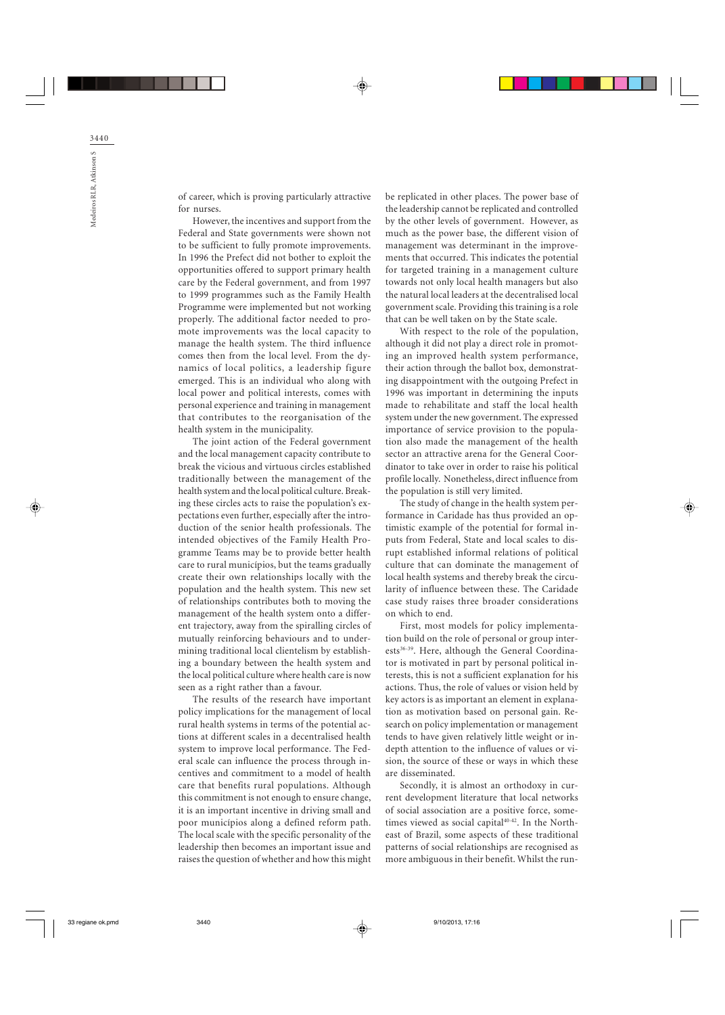of career, which is proving particularly attractive for nurses.

However, the incentives and support from the Federal and State governments were shown not to be sufficient to fully promote improvements. In 1996 the Prefect did not bother to exploit the opportunities offered to support primary health care by the Federal government, and from 1997 to 1999 programmes such as the Family Health Programme were implemented but not working properly. The additional factor needed to promote improvements was the local capacity to manage the health system. The third influence comes then from the local level. From the dynamics of local politics, a leadership figure emerged. This is an individual who along with local power and political interests, comes with personal experience and training in management that contributes to the reorganisation of the health system in the municipality.

The joint action of the Federal government and the local management capacity contribute to break the vicious and virtuous circles established traditionally between the management of the health system and the local political culture. Breaking these circles acts to raise the population's expectations even further, especially after the introduction of the senior health professionals. The intended objectives of the Family Health Programme Teams may be to provide better health care to rural municípios, but the teams gradually create their own relationships locally with the population and the health system. This new set of relationships contributes both to moving the management of the health system onto a different trajectory, away from the spiralling circles of mutually reinforcing behaviours and to undermining traditional local clientelism by establishing a boundary between the health system and the local political culture where health care is now seen as a right rather than a favour.

The results of the research have important policy implications for the management of local rural health systems in terms of the potential actions at different scales in a decentralised health system to improve local performance. The Federal scale can influence the process through incentives and commitment to a model of health care that benefits rural populations. Although this commitment is not enough to ensure change, it is an important incentive in driving small and poor municípios along a defined reform path. The local scale with the specific personality of the leadership then becomes an important issue and raises the question of whether and how this might be replicated in other places. The power base of the leadership cannot be replicated and controlled by the other levels of government. However, as much as the power base, the different vision of management was determinant in the improvements that occurred. This indicates the potential for targeted training in a management culture towards not only local health managers but also the natural local leaders at the decentralised local government scale. Providing this training is a role that can be well taken on by the State scale.

With respect to the role of the population, although it did not play a direct role in promoting an improved health system performance, their action through the ballot box, demonstrating disappointment with the outgoing Prefect in 1996 was important in determining the inputs made to rehabilitate and staff the local health system under the new government. The expressed importance of service provision to the population also made the management of the health sector an attractive arena for the General Coordinator to take over in order to raise his political profile locally. Nonetheless, direct influence from the population is still very limited.

The study of change in the health system performance in Caridade has thus provided an optimistic example of the potential for formal inputs from Federal, State and local scales to disrupt established informal relations of political culture that can dominate the management of local health systems and thereby break the circularity of influence between these. The Caridade case study raises three broader considerations on which to end.

First, most models for policy implementation build on the role of personal or group interests<sup>36-39</sup>. Here, although the General Coordinator is motivated in part by personal political interests, this is not a sufficient explanation for his actions. Thus, the role of values or vision held by key actors is as important an element in explanation as motivation based on personal gain. Research on policy implementation or management tends to have given relatively little weight or indepth attention to the influence of values or vision, the source of these or ways in which these are disseminated.

Secondly, it is almost an orthodoxy in current development literature that local networks of social association are a positive force, sometimes viewed as social capital<sup>40-42</sup>. In the Northeast of Brazil, some aspects of these traditional patterns of social relationships are recognised as more ambiguous in their benefit. Whilst the run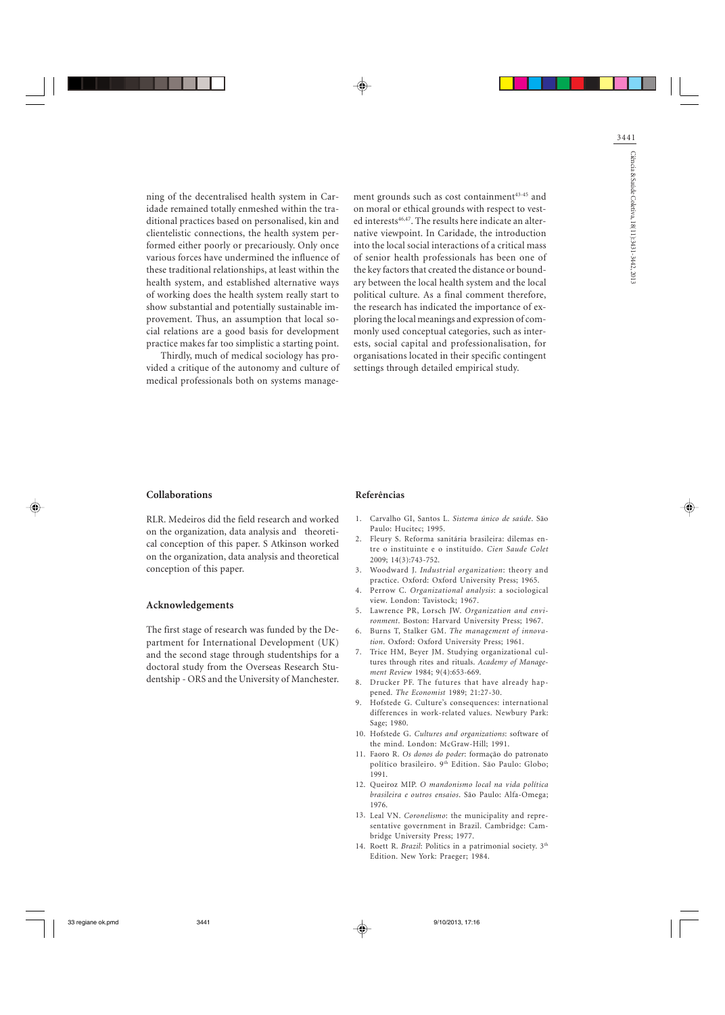ning of the decentralised health system in Caridade remained totally enmeshed within the traditional practices based on personalised, kin and clientelistic connections, the health system performed either poorly or precariously. Only once various forces have undermined the influence of these traditional relationships, at least within the health system, and established alternative ways of working does the health system really start to show substantial and potentially sustainable improvement. Thus, an assumption that local social relations are a good basis for development practice makes far too simplistic a starting point.

Thirdly, much of medical sociology has provided a critique of the autonomy and culture of medical professionals both on systems management grounds such as cost containment<sup>43-45</sup> and on moral or ethical grounds with respect to vested interests<sup>46,47</sup>. The results here indicate an alternative viewpoint. In Caridade, the introduction into the local social interactions of a critical mass of senior health professionals has been one of the key factors that created the distance or boundary between the local health system and the local political culture. As a final comment therefore, the research has indicated the importance of exploring the local meanings and expression of commonly used conceptual categories, such as interests, social capital and professionalisation, for organisations located in their specific contingent settings through detailed empirical study.

### Collaborations

RLR. Medeiros did the field research and worked on the organization, data analysis and theoretical conception of this paper. S Atkinson worked on the organization, data analysis and theoretical conception of this paper.

#### Acknowledgements

The first stage of research was funded by the Department for International Development (UK) and the second stage through studentships for a doctoral study from the Overseas Research Studentship - ORS and the University of Manchester.

#### Referências

- 1. Carvalho GI, Santos L. Sistema único de saúde. São Paulo: Hucitec; 1995.
- Fleury S. Reforma sanitária brasileira: dilemas en-2. tre o instituinte e o instituído. Cien Saude Colet  $2009 \cdot 14(3) \cdot 743 - 752$
- 3. Woodward J. Industrial organization: theory and practice. Oxford: Oxford University Press; 1965.
- 4. Perrow C. Organizational analysis: a sociological view. London: Tavistock; 1967.
- 5. Lawrence PR, Lorsch JW. Organization and environment. Boston: Harvard University Press; 1967.
- 6. Burns T, Stalker GM. The management of innovation. Oxford: Oxford University Press; 1961.
- 7. Trice HM, Beyer JM. Studying organizational cultures through rites and rituals. Academy of Management Review 1984; 9(4):653-669.
- Drucker PF. The futures that have already hap-8. pened. The Economist 1989; 21:27-30.
- 9. Hofstede G. Culture's consequences: international differences in work-related values. Newbury Park: Sage; 1980.
- 10. Hofstede G. Cultures and organizations: software of the mind. London: McGraw-Hill; 1991.
- 11. Faoro R. Os donos do poder: formação do patronato político brasileiro. 9<sup>th</sup> Edition. São Paulo: Globo; 1991.
- 12. Queiroz MIP. O mandonismo local na vida política brasileira e outros ensaios. São Paulo: Alfa-Omega; 1976.
- 13. Leal VN. Coronelismo: the municipality and representative government in Brazil. Cambridge: Cambridge University Press; 1977.
- 14. Roett R. Brazil: Politics in a patrimonial society.  $3<sup>th</sup>$ Edition. New York: Praeger; 1984.